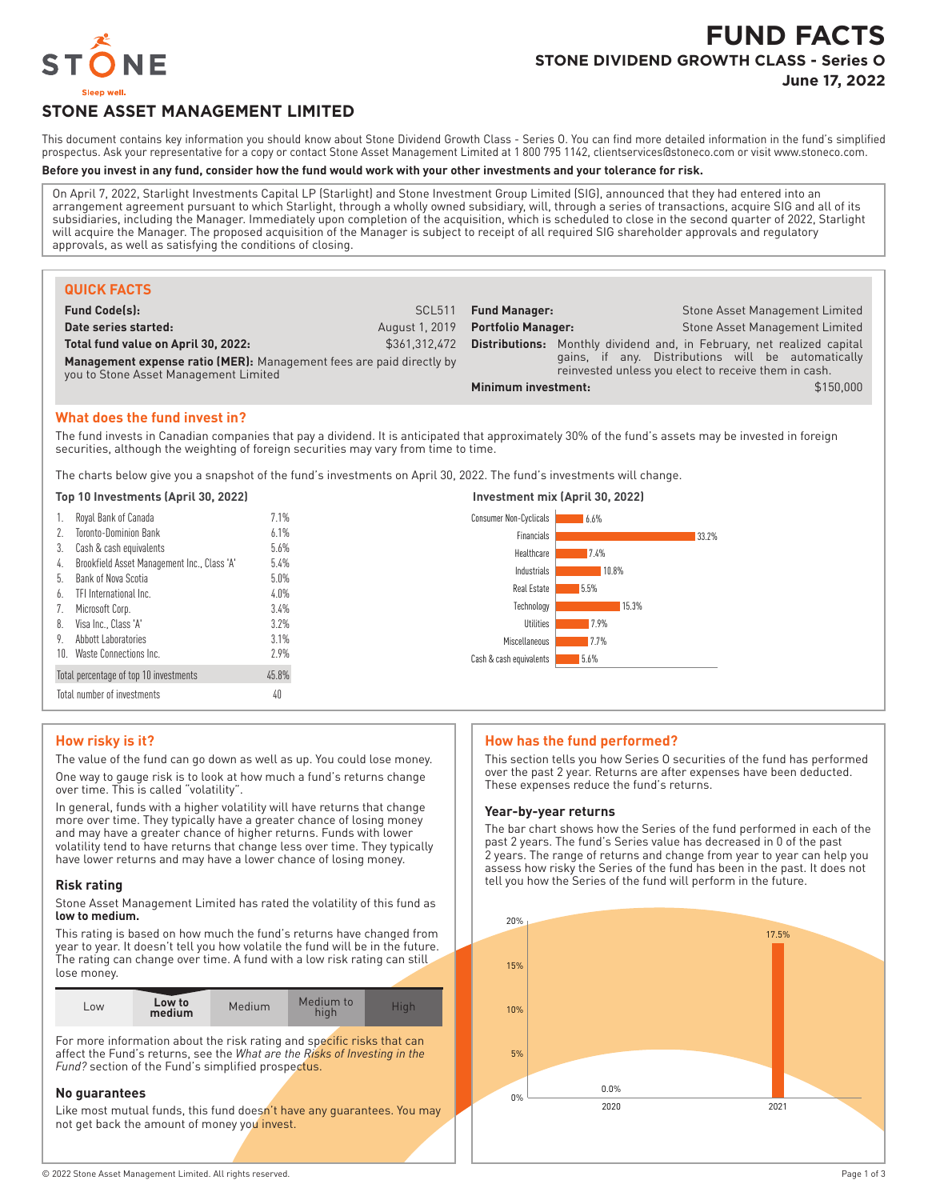

# **FUND FACTS STONE DIVIDEND GROWTH CLASS - Series O**

**June 17, 2022**

## **STONE ASSET MANAGEMENT LIMITED**

This document contains key information you should know about Stone Dividend Growth Class - Series O. You can find more detailed information in the fund's simplified prospectus. Ask your representative for a copy or contact Stone Asset Management Limited at 1 800 795 1142, clientservices@stoneco.com or visit www.stoneco.com.

#### **Before you invest in any fund, consider how the fund would work with your other investments and your tolerance for risk.**

On April 7, 2022, Starlight Investments Capital LP (Starlight) and Stone Investment Group Limited (SIG), announced that they had entered into an arrangement agreement pursuant to which Starlight, through a wholly owned subsidiary, will, through a series of transactions, acquire SIG and all of its subsidiaries, including the Manager. Immediately upon completion of the acquisition, which is scheduled to close in the second quarter of 2022, Starlight will acquire the Manager. The proposed acquisition of the Manager is subject to receipt of all required SIG shareholder approvals and regulatory approvals, as well as satisfying the conditions of closing.

| <b>QUICK FACTS</b>                                                                                            |                |                           |                                                                                                            |
|---------------------------------------------------------------------------------------------------------------|----------------|---------------------------|------------------------------------------------------------------------------------------------------------|
| <b>Fund Code(s):</b>                                                                                          | <b>SCL511</b>  | <b>Fund Manager:</b>      | Stone Asset Management Limited                                                                             |
| Date series started:                                                                                          | August 1, 2019 | <b>Portfolio Manager:</b> | <b>Stone Asset Management Limited</b>                                                                      |
| Total fund value on April 30, 2022:                                                                           | \$361.312.472  | Distributions:            | Monthly dividend and, in February, net realized capital                                                    |
| Management expense ratio (MER): Management fees are paid directly by<br>you to Stone Asset Management Limited |                |                           | gains, if any. Distributions will be automatically<br>reinvested unless you elect to receive them in cash. |
|                                                                                                               |                | Minimum investment:       | \$150,000                                                                                                  |

#### **What does the fund invest in?**

The fund invests in Canadian companies that pay a dividend. It is anticipated that approximately 30% of the fund's assets may be invested in foreign securities, although the weighting of foreign securities may vary from time to time.

The charts below give you a snapshot of the fund's investments on April 30, 2022. The fund's investments will change.

#### **Top 10 Investments (April 30, 2022) Investment mix (April 30, 2022)** 1. Royal Bank of Canada 7.1% 2. Toronto-Dominion Bank 6.1% 3. Cash & cash equivalents 5.6% 4. Brookfield Asset Management Inc., Class 'A' 5.4% 5. Bank of Nova Scotia 5.0% 6. TFI International Inc. 4.0% 7. Microsoft Corp. 3.4% 8. Visa Inc., Class 'A' 3.2% Abbott Laboratories 3.1%<br>Waste Connections Inc. 2.9% 10. Waste Connections Inc. Total percentage of top 10 investments 45.8% Total number of investments 40 6.6% 33.2% 7.4% 10.8% 5.5% 15.3% 7.9% 7.7% 5.6% Consumer Non-Cyclicals Financials Healthcare Industrials Real Estate Technology Utilities Miscellaneous Cash & cash equivalents

#### **How risky is it?**

The value of the fund can go down as well as up. You could lose money. One way to gauge risk is to look at how much a fund's returns change over time. This is called "volatility".

In general, funds with a higher volatility will have returns that change more over time. They typically have a greater chance of losing money and may have a greater chance of higher returns. Funds with lower volatility tend to have returns that change less over time. They typically have lower returns and may have a lower chance of losing money.

#### **Risk rating**

Stone Asset Management Limited has rated the volatility of this fund as **low to medium.**

This rating is based on how much the fund's returns have changed from year to year. It doesn't tell you how volatile the fund will be in the future. The rating can change over time. A fund with a low risk rating can still lose money.

| LOW <sub></sub> | Low to<br>medium | Medium | Medium to<br>hiar |  |
|-----------------|------------------|--------|-------------------|--|

For more information about the risk rating and specific risks that can affect the Fund's returns, see the *What are the Risks of Investing in the Fund?* section of the Fund's simplified prospectus.

#### **No guarantees**

Like most mutual funds, this fund doesn't have any quarantees. You may not get back the amount of money you invest.

#### **How has the fund performed?**

This section tells you how Series O securities of the fund has performed over the past 2 year. Returns are after expenses have been deducted. These expenses reduce the fund's returns.

#### **Year-by-year returns**

The bar chart shows how the Series of the fund performed in each of the past 2 years. The fund's Series value has decreased in 0 of the past 2 years. The range of returns and change from year to year can help you assess how risky the Series of the fund has been in the past. It does not tell you how the Series of the fund will perform in the future.

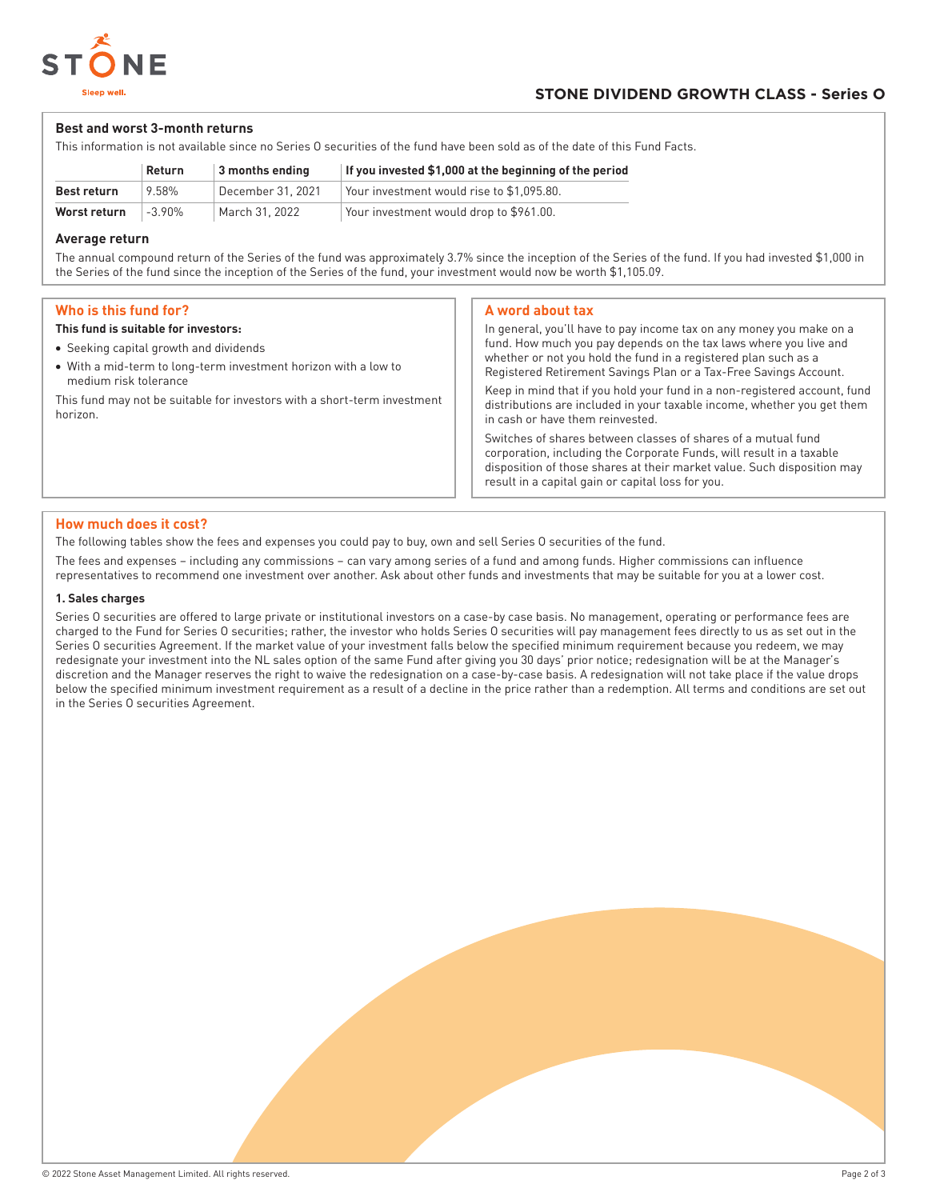

#### **Best and worst 3-month returns**

This information is not available since no Series O securities of the fund have been sold as of the date of this Fund Facts.

|              | Return    | 3 months ending   | If you invested \$1,000 at the beginning of the period |
|--------------|-----------|-------------------|--------------------------------------------------------|
| Best return  | 9.58%     | December 31, 2021 | $^\circ$ Your investment would rise to \$1,095.80.     |
| Worst return | $-3.90\%$ | March 31. 2022    | Your investment would drop to \$961.00.                |

#### **Average return**

The annual compound return of the Series of the fund was approximately 3.7% since the inception of the Series of the fund. If you had invested \$1,000 in the Series of the fund since the inception of the Series of the fund, your investment would now be worth \$1,105.09.

#### **Who is this fund for?**

#### **This fund is suitable for investors:**

- Seeking capital growth and dividends
- With a mid-term to long-term investment horizon with a low to medium risk tolerance

This fund may not be suitable for investors with a short-term investment horizon.

#### **A word about tax**

In general, you'll have to pay income tax on any money you make on a fund. How much you pay depends on the tax laws where you live and whether or not you hold the fund in a registered plan such as a Registered Retirement Savings Plan or a Tax-Free Savings Account. Keep in mind that if you hold your fund in a non-registered account, fund

distributions are included in your taxable income, whether you get them in cash or have them reinvested.

Switches of shares between classes of shares of a mutual fund corporation, including the Corporate Funds, will result in a taxable disposition of those shares at their market value. Such disposition may result in a capital gain or capital loss for you.

#### **How much does it cost?**

The following tables show the fees and expenses you could pay to buy, own and sell Series O securities of the fund.

The fees and expenses – including any commissions – can vary among series of a fund and among funds. Higher commissions can influence representatives to recommend one investment over another. Ask about other funds and investments that may be suitable for you at a lower cost.

#### **1. Sales charges**

Series O securities are offered to large private or institutional investors on a case-by case basis. No management, operating or performance fees are charged to the Fund for Series O securities; rather, the investor who holds Series O securities will pay management fees directly to us as set out in the Series O securities Agreement. If the market value of your investment falls below the specified minimum requirement because you redeem, we may redesignate your investment into the NL sales option of the same Fund after giving you 30 days' prior notice; redesignation will be at the Manager's discretion and the Manager reserves the right to waive the redesignation on a case-by-case basis. A redesignation will not take place if the value drops below the specified minimum investment requirement as a result of a decline in the price rather than a redemption. All terms and conditions are set out in the Series O securities Agreement.